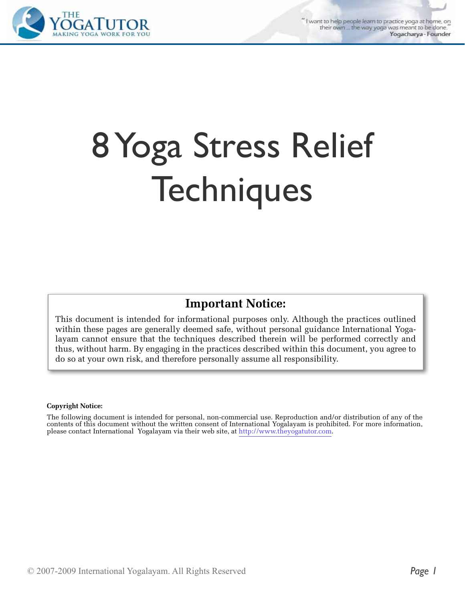"I want to help people learn to practice yoga at home, on their own \_ the way yoga was meant to be done. Yogacharya - Founder



# 8 Yoga Stress Relief **Techniques**

#### **Important Notice:**

This document is intended for informational purposes only. Although the practices outlined within these pages are generally deemed safe, without personal guidance International Yogalayam cannot ensure that the techniques described therein will be performed correctly and thus, without harm. By engaging in the practices described within this document, you agree to do so at your own risk, and therefore personally assume all responsibility.

#### **Copyright Notice:**

The following document is intended for personal, non-commercial use. Reproduction and/or distribution of any of the contents of this document without the written consent of International Yogalayam is prohibited. For more information, please contact International Yogalayam via their web site, at http://www.theyogatutor.com.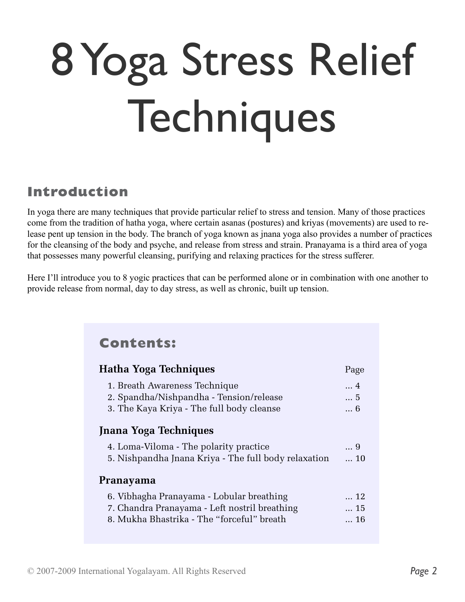# 8 Yoga Stress Relief Techniques

# **Introduction**

In yoga there are many techniques that provide particular relief to stress and tension. Many of those practices come from the tradition of hatha yoga, where certain asanas (postures) and kriyas (movements) are used to release pent up tension in the body. The branch of yoga known as jnana yoga also provides a number of practices for the cleansing of the body and psyche, and release from stress and strain. Pranayama is a third area of yoga that possesses many powerful cleansing, purifying and relaxing practices for the stress sufferer.

Here I'll introduce you to 8 yogic practices that can be performed alone or in combination with one another to provide release from normal, day to day stress, as well as chronic, built up tension.

| <b>Contents:</b>                                                                                                                         |                        |
|------------------------------------------------------------------------------------------------------------------------------------------|------------------------|
| <b>Hatha Yoga Techniques</b>                                                                                                             | Page                   |
| 1. Breath Awareness Technique<br>2. Spandha/Nishpandha - Tension/release<br>3. The Kaya Kriya - The full body cleanse                    | 4<br>5<br>6            |
| <b>Jnana Yoga Techniques</b>                                                                                                             |                        |
| 4. Loma-Viloma - The polarity practice<br>5. Nishpandha Jnana Kriya - The full body relaxation                                           | 9<br>$\dots$ 10        |
| Pranayama                                                                                                                                |                        |
| 6. Vibhagha Pranayama - Lobular breathing<br>7. Chandra Pranayama - Left nostril breathing<br>8. Mukha Bhastrika - The "forceful" breath | 12<br>15<br>$\dots$ 16 |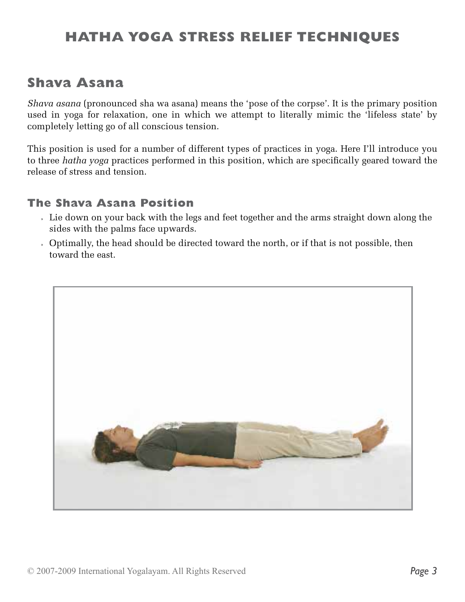# **HATHA YOGA STRESS RELIEF TECHNIQUES**

# **Shava Asana**

*Shava asana* (pronounced sha wa asana) means the 'pose of the corpse'. It is the primary position used in yoga for relaxation, one in which we attempt to literally mimic the 'lifeless state' by completely letting go of all conscious tension.

This position is used for a number of different types of practices in yoga. Here I'll introduce you to three *hatha yoga* practices performed in this position, which are specifically geared toward the release of stress and tension.

#### **The Shava Asana Position**

- » Lie down on your back with the legs and feet together and the arms straight down along the sides with the palms face upwards.
- » Optimally, the head should be directed toward the north, or if that is not possible, then toward the east.

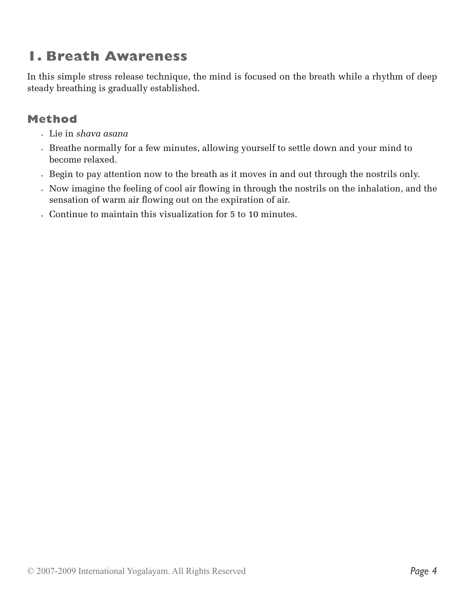# **1. Breath Awareness**

In this simple stress release technique, the mind is focused on the breath while a rhythm of deep steady breathing is gradually established.

# **Method**

- » Lie in *shava asana*
- » Breathe normally for a few minutes, allowing yourself to settle down and your mind to become relaxed.
- » Begin to pay attention now to the breath as it moves in and out through the nostrils only.
- » Now imagine the feeling of cool air flowing in through the nostrils on the inhalation, and the sensation of warm air flowing out on the expiration of air.
- » Continue to maintain this visualization for 5 to 10 minutes.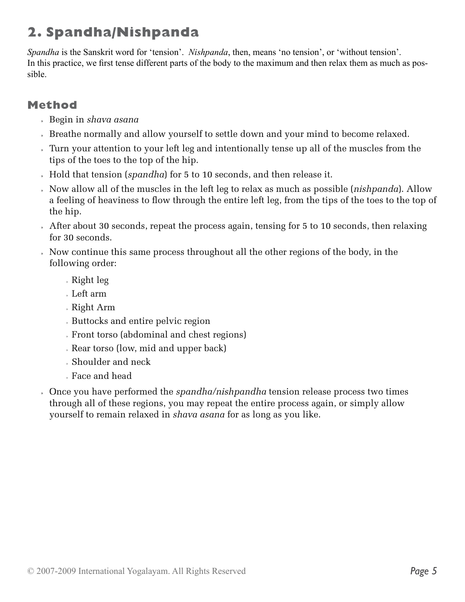# **2. Spandha/Nishpanda**

*Spandha* is the Sanskrit word for 'tension'. *Nishpanda*, then, means 'no tension', or 'without tension'. In this practice, we first tense different parts of the body to the maximum and then relax them as much as possible.

## **Method**

- » Begin in *shava asana*
- » Breathe normally and allow yourself to settle down and your mind to become relaxed.
- » Turn your attention to your left leg and intentionally tense up all of the muscles from the tips of the toes to the top of the hip.
- » Hold that tension (*spandha*) for 5 to 10 seconds, and then release it.
- » Now allow all of the muscles in the left leg to relax as much as possible (*nishpanda*). Allow a feeling of heaviness to flow through the entire left leg, from the tips of the toes to the top of the hip.
- » After about 30 seconds, repeat the process again, tensing for 5 to 10 seconds, then relaxing for 30 seconds.
- » Now continue this same process throughout all the other regions of the body, in the following order:
	- » Right leg
	- » Left arm
	- » Right Arm
	- » Buttocks and entire pelvic region
	- » Front torso (abdominal and chest regions)
	- » Rear torso (low, mid and upper back)
	- » Shoulder and neck
	- » Face and head
- » Once you have performed the *spandha/nishpandha* tension release process two times through all of these regions, you may repeat the entire process again, or simply allow yourself to remain relaxed in *shava asana* for as long as you like.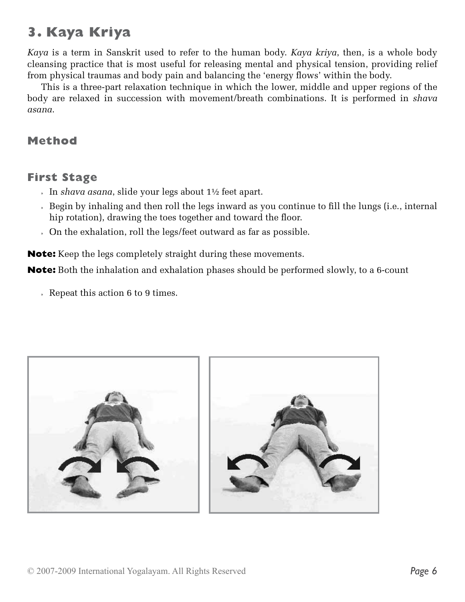# **3. Kaya Kriya**

*Kaya* is a term in Sanskrit used to refer to the human body. *Kaya kriya*, then, is a whole body cleansing practice that is most useful for releasing mental and physical tension, providing relief from physical traumas and body pain and balancing the 'energy flows' within the body.

This is a three-part relaxation technique in which the lower, middle and upper regions of the body are relaxed in succession with movement/breath combinations. It is performed in *shava asana*.

#### **Method**

#### **First Stage**

- » In *shava asana*, slide your legs about 1½ feet apart.
- » Begin by inhaling and then roll the legs inward as you continue to fill the lungs (i.e., internal hip rotation), drawing the toes together and toward the floor.
- » On the exhalation, roll the legs/feet outward as far as possible.

**Note:** Keep the legs completely straight during these movements.

**Note:** Both the inhalation and exhalation phases should be performed slowly, to a 6-count

» Repeat this action 6 to 9 times.

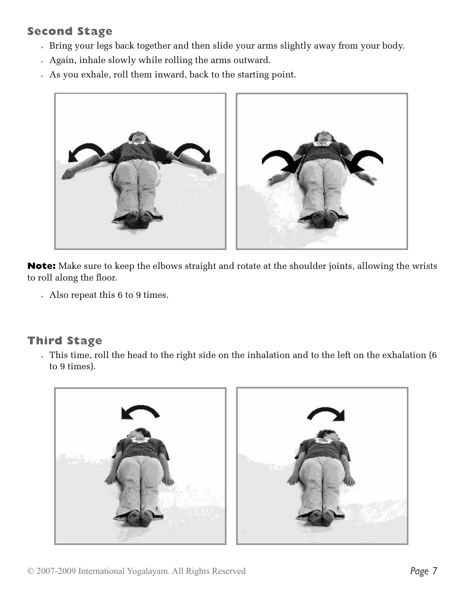# **Second Stage**

- » Bring your legs back together and then slide your arms slightly away from your body.
- » Again, inhale slowly while rolling the arms outward.
- » As you exhale, roll them inward, back to the starting point.



**Note:** Make sure to keep the elbows straight and rotate at the shoulder joints, allowing the wrists to roll along the floor.

» Also repeat this 6 to 9 times.

#### **Third Stage**

» This time, roll the head to the right side on the inhalation and to the left on the exhalation (6 to 9 times).

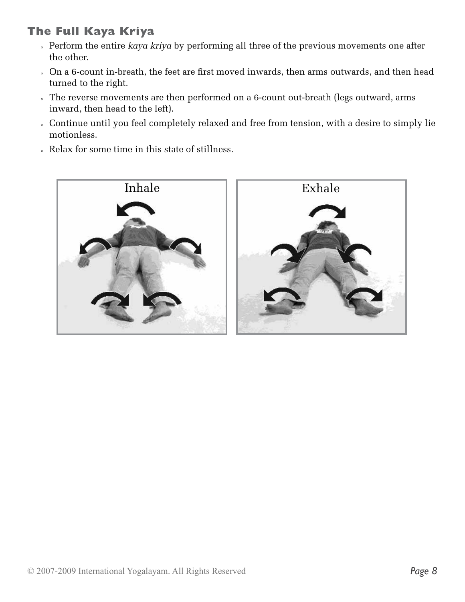# **The Full Kaya Kriya**

- » Perform the entire *kaya kriya* by performing all three of the previous movements one after the other.
- » On a 6-count in-breath, the feet are first moved inwards, then arms outwards, and then head turned to the right.
- » The reverse movements are then performed on a 6-count out-breath (legs outward, arms inward, then head to the left).
- » Continue until you feel completely relaxed and free from tension, with a desire to simply lie motionless.
- » Relax for some time in this state of stillness.

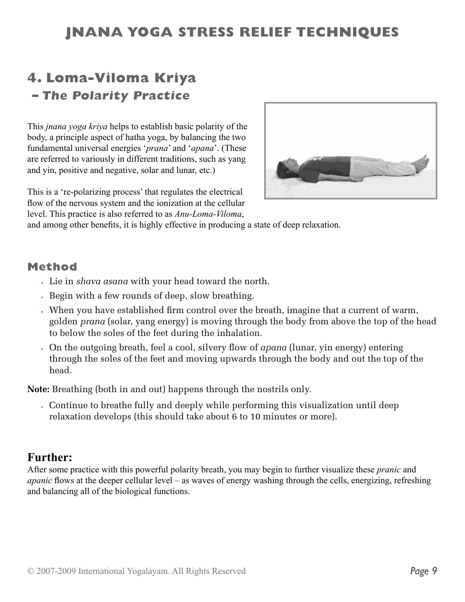# **JNANA YOGA STRESS RELIEF TECHNIQUES**

# **4. Loma-Viloma Kriya – The Polarity Practice**

This *jnana yoga kriya* helps to establish basic polarity of the body, a principle aspect of hatha yoga, by balancing the two fundamental universal energies '*prana*' and '*apana*'. (These are referred to variously in different traditions, such as yang and yin, positive and negative, solar and lunar, etc.)

This is a 're-polarizing process' that regulates the electrical flow of the nervous system and the ionization at the cellular level. This practice is also referred to as *Anu-Loma-Viloma*,



and among other benefits, it is highly effective in producing a state of deep relaxation.

#### **Method**

- » Lie in *shava asana* with your head toward the north.
- » Begin with a few rounds of deep, slow breathing.
- » When you have established firm control over the breath, imagine that a current of warm, golden *prana* (solar, yang energy) is moving through the body from above the top of the head to below the soles of the feet during the inhalation.
- » On the outgoing breath, feel a cool, silvery flow of *apana* (lunar, yin energy) entering through the soles of the feet and moving upwards through the body and out the top of the head.

**Note:** Breathing (both in and out) happens through the nostrils only.

» Continue to breathe fully and deeply while performing this visualization until deep relaxation develops (this should take about 6 to 10 minutes or more).

#### **Further:**

After some practice with this powerful polarity breath, you may begin to further visualize these *pranic* and *apanic* flows at the deeper cellular level – as waves of energy washing through the cells, energizing, refreshing and balancing all of the biological functions.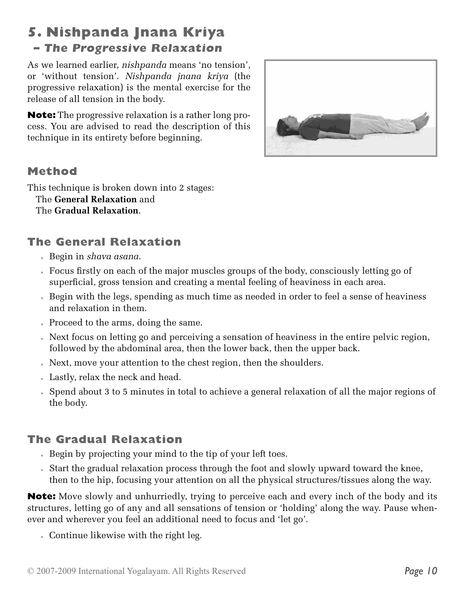# **5. Nishpanda Jnana Kriya – The Progressive Relaxation**

As we learned earlier, *nishpanda* means 'no tension', or 'without tension'. *Nishpanda jnana kriya* (the progressive relaxation) is the mental exercise for the release of all tension in the body.

**Note:** The progressive relaxation is a rather long process. You are advised to read the description of this technique in its entirety before beginning.



# **Method**

This technique is broken down into 2 stages: The **General Relaxation** and The **Gradual Relaxation**.

# **The General Relaxation**

- » Begin in *shava asana*.
- » Focus firstly on each of the major muscles groups of the body, consciously letting go of superficial, gross tension and creating a mental feeling of heaviness in each area.
- » Begin with the legs, spending as much time as needed in order to feel a sense of heaviness and relaxation in them.
- » Proceed to the arms, doing the same.
- » Next focus on letting go and perceiving a sensation of heaviness in the entire pelvic region, followed by the abdominal area, then the lower back, then the upper back.
- » Next, move your attention to the chest region, then the shoulders.
- » Lastly, relax the neck and head.
- » Spend about 3 to 5 minutes in total to achieve a general relaxation of all the major regions of the body.

# **The Gradual Relaxation**

- » Begin by projecting your mind to the tip of your left toes.
- » Start the gradual relaxation process through the foot and slowly upward toward the knee, then to the hip, focusing your attention on all the physical structures/tissues along the way.

**Note:** Move slowly and unhurriedly, trying to perceive each and every inch of the body and its structures, letting go of any and all sensations of tension or 'holding' along the way. Pause whenever and wherever you feel an additional need to focus and 'let go'.

» Continue likewise with the right leg.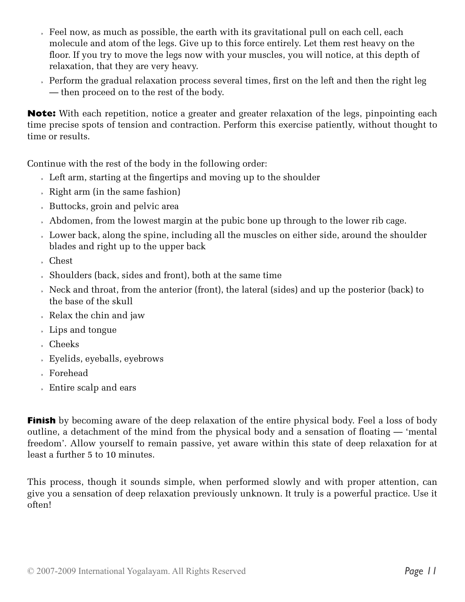- » Feel now, as much as possible, the earth with its gravitational pull on each cell, each molecule and atom of the legs. Give up to this force entirely. Let them rest heavy on the floor. If you try to move the legs now with your muscles, you will notice, at this depth of relaxation, that they are very heavy.
- » Perform the gradual relaxation process several times, first on the left and then the right leg — then proceed on to the rest of the body.

**Note:** With each repetition, notice a greater and greater relaxation of the legs, pinpointing each time precise spots of tension and contraction. Perform this exercise patiently, without thought to time or results.

Continue with the rest of the body in the following order:

- » Left arm, starting at the fingertips and moving up to the shoulder
- » Right arm (in the same fashion)
- » Buttocks, groin and pelvic area
- » Abdomen, from the lowest margin at the pubic bone up through to the lower rib cage.
- » Lower back, along the spine, including all the muscles on either side, around the shoulder blades and right up to the upper back
- » Chest
- » Shoulders (back, sides and front), both at the same time
- » Neck and throat, from the anterior (front), the lateral (sides) and up the posterior (back) to the base of the skull
- » Relax the chin and jaw
- » Lips and tongue
- » Cheeks
- » Eyelids, eyeballs, eyebrows
- » Forehead
- » Entire scalp and ears

**Finish** by becoming aware of the deep relaxation of the entire physical body. Feel a loss of body outline, a detachment of the mind from the physical body and a sensation of floating — 'mental freedom'. Allow yourself to remain passive, yet aware within this state of deep relaxation for at least a further 5 to 10 minutes.

This process, though it sounds simple, when performed slowly and with proper attention, can give you a sensation of deep relaxation previously unknown. It truly is a powerful practice. Use it often!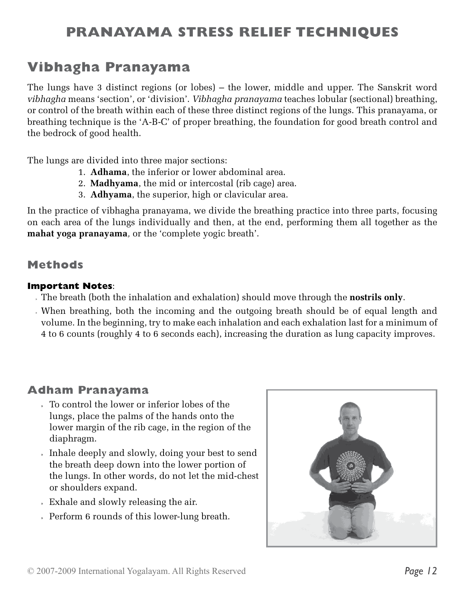# **PRANAYAMA STRESS RELIEF TECHNIQUES**

# **Vibhagha Pranayama**

The lungs have 3 distinct regions (or lobes) – the lower, middle and upper. The Sanskrit word *vibhagha* means 'section', or 'division'. *Vibhagha pranayama* teaches lobular (sectional) breathing, or control of the breath within each of these three distinct regions of the lungs. This pranayama, or breathing technique is the 'A-B-C' of proper breathing, the foundation for good breath control and the bedrock of good health.

The lungs are divided into three major sections:

- 1. **Adhama**, the inferior or lower abdominal area.
- 2. **Madhyama**, the mid or intercostal (rib cage) area.
- 3. **Adhyama**, the superior, high or clavicular area.

In the practice of vibhagha pranayama, we divide the breathing practice into three parts, focusing on each area of the lungs individually and then, at the end, performing them all together as the **mahat yoga pranayama***,* or the 'complete yogic breath'.

#### **Methods**

#### **Important Notes**:

- » The breath (both the inhalation and exhalation) should move through the **nostrils only**.
- » When breathing, both the incoming and the outgoing breath should be of equal length and volume. In the beginning, try to make each inhalation and each exhalation last for a minimum of 4 to 6 counts (roughly 4 to 6 seconds each), increasing the duration as lung capacity improves.

#### **Adham Pranayama**

- » To control the lower or inferior lobes of the lungs, place the palms of the hands onto the lower margin of the rib cage, in the region of the diaphragm.
- » Inhale deeply and slowly, doing your best to send the breath deep down into the lower portion of the lungs. In other words, do not let the mid-chest or shoulders expand.
- » Exhale and slowly releasing the air.
- » Perform 6 rounds of this lower-lung breath.

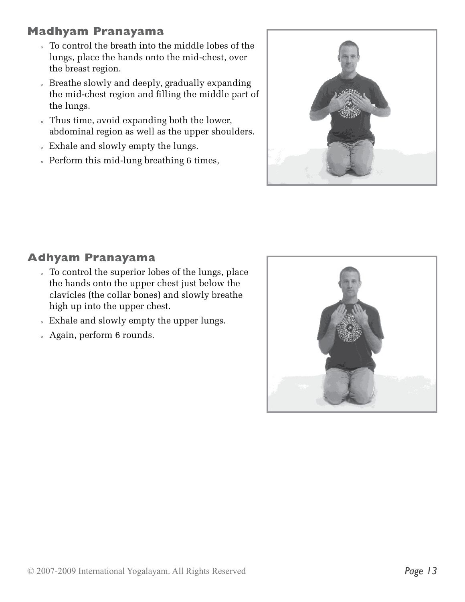# **Madhyam Pranayama**

- » To control the breath into the middle lobes of the lungs, place the hands onto the mid-chest, over the breast region.
- » Breathe slowly and deeply, gradually expanding the mid-chest region and filling the middle part of the lungs.
- » Thus time, avoid expanding both the lower, abdominal region as well as the upper shoulders.
- » Exhale and slowly empty the lungs.
- » Perform this mid-lung breathing 6 times,



# **Adhyam Pranayama**

- » To control the superior lobes of the lungs, place the hands onto the upper chest just below the clavicles (the collar bones) and slowly breathe high up into the upper chest.
- » Exhale and slowly empty the upper lungs.
- » Again, perform 6 rounds.

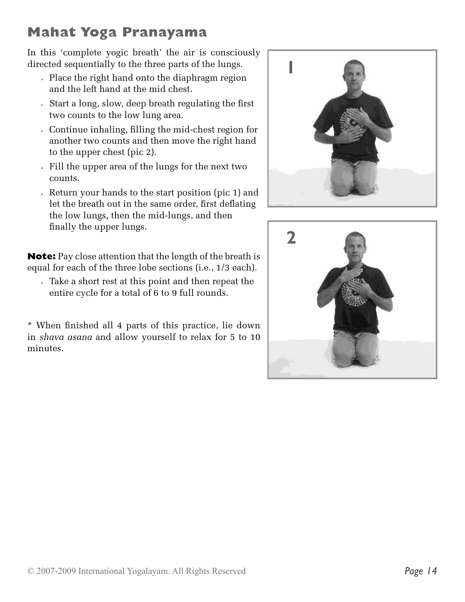# **Mahat Yoga Pranayama**

In this 'complete yogic breath' the air is consciously directed sequentially to the three parts of the lungs.

- » Place the right hand onto the diaphragm region and the left hand at the mid chest.
- » Start a long, slow, deep breath regulating the first two counts to the low lung area.
- » Continue inhaling, filling the mid-chest region for another two counts and then move the right hand to the upper chest (pic 2).
- » Fill the upper area of the lungs for the next two counts.
- » Return your hands to the start position (pic 1) and let the breath out in the same order, first deflating the low lungs, then the mid-lungs, and then finally the upper lungs.

**Note:** Pay close attention that the length of the breath is equal for each of the three lobe sections (i.e., 1/3 each).

» Take a short rest at this point and then repeat the entire cycle for a total of 6 to 9 full rounds.

\* When finished all 4 parts of this practice, lie down in *shava asana* and allow yourself to relax for 5 to 10 minutes.



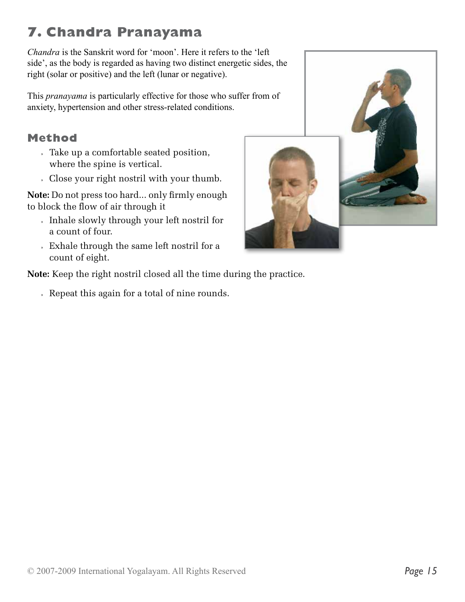# **7. Chandra Pranayama**

*Chandra* is the Sanskrit word for 'moon'. Here it refers to the 'left side', as the body is regarded as having two distinct energetic sides, the right (solar or positive) and the left (lunar or negative).

This *pranayama* is particularly effective for those who suffer from of anxiety, hypertension and other stress-related conditions.

# **Method**

- » Take up a comfortable seated position, where the spine is vertical.
- » Close your right nostril with your thumb.

**Note:** Do not press too hard... only firmly enough to block the flow of air through it

- » Inhale slowly through your left nostril for a count of four.
- » Exhale through the same left nostril for a count of eight.

**Note:** Keep the right nostril closed all the time during the practice.

» Repeat this again for a total of nine rounds.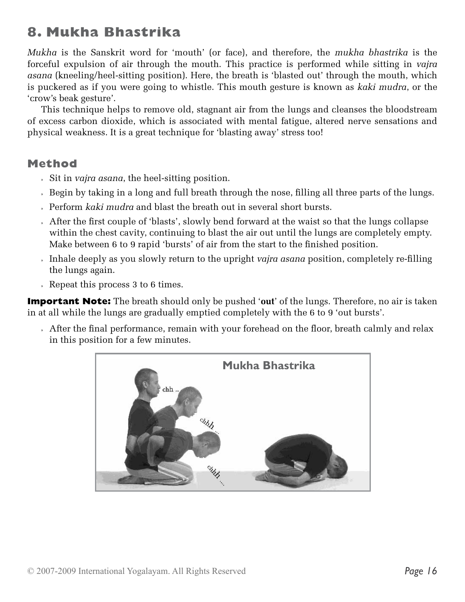# **8. Mukha Bhastrika**

*Mukha* is the Sanskrit word for 'mouth' (or face), and therefore, the *mukha bhastrika* is the forceful expulsion of air through the mouth. This practice is performed while sitting in *vajra asana* (kneeling/heel-sitting position). Here, the breath is 'blasted out' through the mouth, which is puckered as if you were going to whistle. This mouth gesture is known as *kaki mudra*, or the 'crow's beak gesture'.

This technique helps to remove old, stagnant air from the lungs and cleanses the bloodstream of excess carbon dioxide, which is associated with mental fatigue, altered nerve sensations and physical weakness. It is a great technique for 'blasting away' stress too!

#### **Method**

- » Sit in *vajra asana*, the heel-sitting position.
- » Begin by taking in a long and full breath through the nose, filling all three parts of the lungs.
- » Perform *kaki mudra* and blast the breath out in several short bursts.
- » After the first couple of 'blasts', slowly bend forward at the waist so that the lungs collapse within the chest cavity, continuing to blast the air out until the lungs are completely empty. Make between 6 to 9 rapid 'bursts' of air from the start to the finished position.
- » Inhale deeply as you slowly return to the upright *vajra asana* position, completely re-filling the lungs again.
- » Repeat this process 3 to 6 times.

**Important Note:** The breath should only be pushed '**out**' of the lungs. Therefore, no air is taken in at all while the lungs are gradually emptied completely with the 6 to 9 'out bursts'.

» After the final performance, remain with your forehead on the floor, breath calmly and relax in this position for a few minutes.